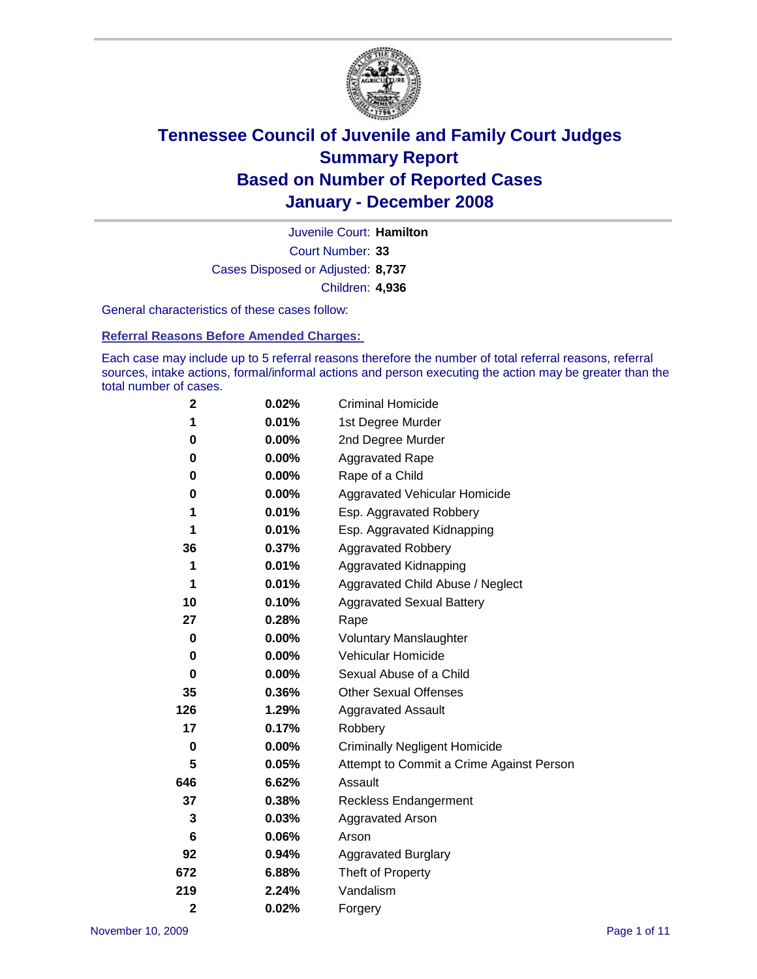

Court Number: **33** Juvenile Court: **Hamilton** Cases Disposed or Adjusted: **8,737** Children: **4,936**

General characteristics of these cases follow:

**Referral Reasons Before Amended Charges:** 

Each case may include up to 5 referral reasons therefore the number of total referral reasons, referral sources, intake actions, formal/informal actions and person executing the action may be greater than the total number of cases.

| $\mathbf{2}$   | 0.02%    | Criminal Homicide                        |
|----------------|----------|------------------------------------------|
| 1              | 0.01%    | 1st Degree Murder                        |
| 0              | 0.00%    | 2nd Degree Murder                        |
| 0              | $0.00\%$ | <b>Aggravated Rape</b>                   |
| 0              | 0.00%    | Rape of a Child                          |
| 0              | 0.00%    | Aggravated Vehicular Homicide            |
| 1              | 0.01%    | Esp. Aggravated Robbery                  |
| 1              | 0.01%    | Esp. Aggravated Kidnapping               |
| 36             | 0.37%    | <b>Aggravated Robbery</b>                |
| 1              | 0.01%    | Aggravated Kidnapping                    |
| 1              | 0.01%    | Aggravated Child Abuse / Neglect         |
| 10             | 0.10%    | <b>Aggravated Sexual Battery</b>         |
| 27             | 0.28%    | Rape                                     |
| 0              | $0.00\%$ | <b>Voluntary Manslaughter</b>            |
| 0              | 0.00%    | Vehicular Homicide                       |
| 0              | 0.00%    | Sexual Abuse of a Child                  |
| 35             | 0.36%    | <b>Other Sexual Offenses</b>             |
| 126            | 1.29%    | Aggravated Assault                       |
| 17             | 0.17%    | Robbery                                  |
| 0              | 0.00%    | <b>Criminally Negligent Homicide</b>     |
| 5              | 0.05%    | Attempt to Commit a Crime Against Person |
| 646            | 6.62%    | Assault                                  |
| 37             | 0.38%    | <b>Reckless Endangerment</b>             |
| 3              | 0.03%    | <b>Aggravated Arson</b>                  |
| 6              | $0.06\%$ | Arson                                    |
| 92             | 0.94%    | <b>Aggravated Burglary</b>               |
| 672            | 6.88%    | Theft of Property                        |
| 219            | 2.24%    | Vandalism                                |
| $\overline{2}$ | 0.02%    | Forgery                                  |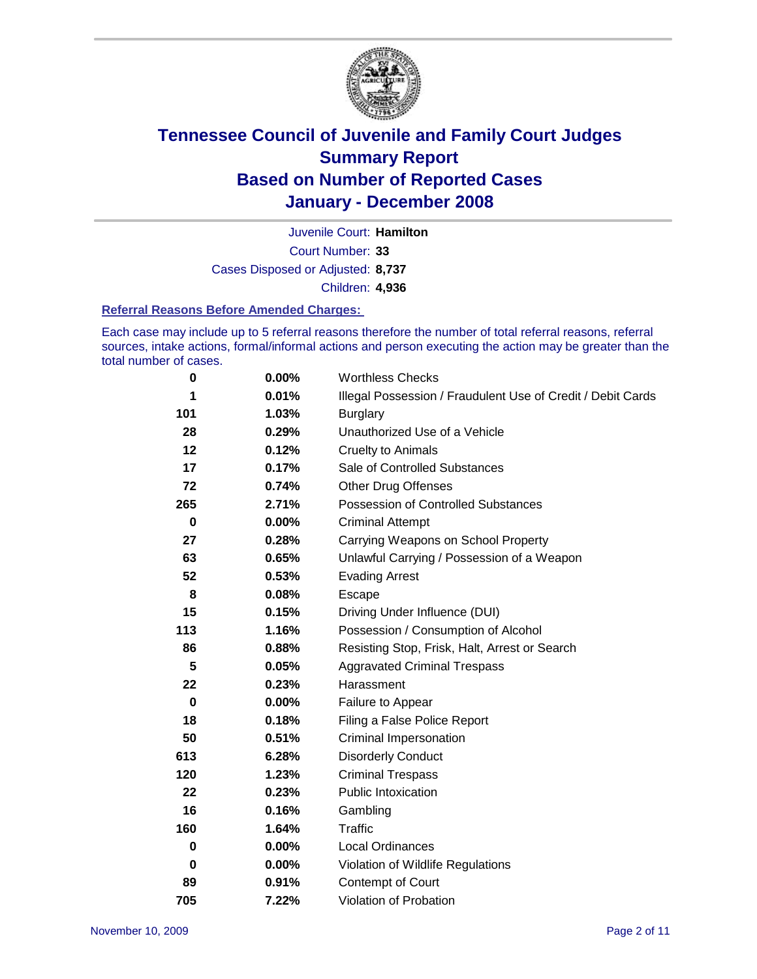

Court Number: **33** Juvenile Court: **Hamilton** Cases Disposed or Adjusted: **8,737** Children: **4,936**

#### **Referral Reasons Before Amended Charges:**

Each case may include up to 5 referral reasons therefore the number of total referral reasons, referral sources, intake actions, formal/informal actions and person executing the action may be greater than the total number of cases.

| $\bf{0}$ | 0.00% | <b>Worthless Checks</b>                                     |
|----------|-------|-------------------------------------------------------------|
| 1        | 0.01% | Illegal Possession / Fraudulent Use of Credit / Debit Cards |
| 101      | 1.03% | <b>Burglary</b>                                             |
| 28       | 0.29% | Unauthorized Use of a Vehicle                               |
| 12       | 0.12% | <b>Cruelty to Animals</b>                                   |
| 17       | 0.17% | Sale of Controlled Substances                               |
| 72       | 0.74% | <b>Other Drug Offenses</b>                                  |
| 265      | 2.71% | Possession of Controlled Substances                         |
| $\bf{0}$ | 0.00% | <b>Criminal Attempt</b>                                     |
| 27       | 0.28% | Carrying Weapons on School Property                         |
| 63       | 0.65% | Unlawful Carrying / Possession of a Weapon                  |
| 52       | 0.53% | <b>Evading Arrest</b>                                       |
| 8        | 0.08% | Escape                                                      |
| 15       | 0.15% | Driving Under Influence (DUI)                               |
| 113      | 1.16% | Possession / Consumption of Alcohol                         |
| 86       | 0.88% | Resisting Stop, Frisk, Halt, Arrest or Search               |
| 5        | 0.05% | <b>Aggravated Criminal Trespass</b>                         |
| 22       | 0.23% | Harassment                                                  |
| 0        | 0.00% | Failure to Appear                                           |
| 18       | 0.18% | Filing a False Police Report                                |
| 50       | 0.51% | Criminal Impersonation                                      |
| 613      | 6.28% | <b>Disorderly Conduct</b>                                   |
| 120      | 1.23% | <b>Criminal Trespass</b>                                    |
| 22       | 0.23% | <b>Public Intoxication</b>                                  |
| 16       | 0.16% | Gambling                                                    |
| 160      | 1.64% | Traffic                                                     |
| 0        | 0.00% | <b>Local Ordinances</b>                                     |
| $\bf{0}$ | 0.00% | Violation of Wildlife Regulations                           |
| 89       | 0.91% | Contempt of Court                                           |
| 705      | 7.22% | Violation of Probation                                      |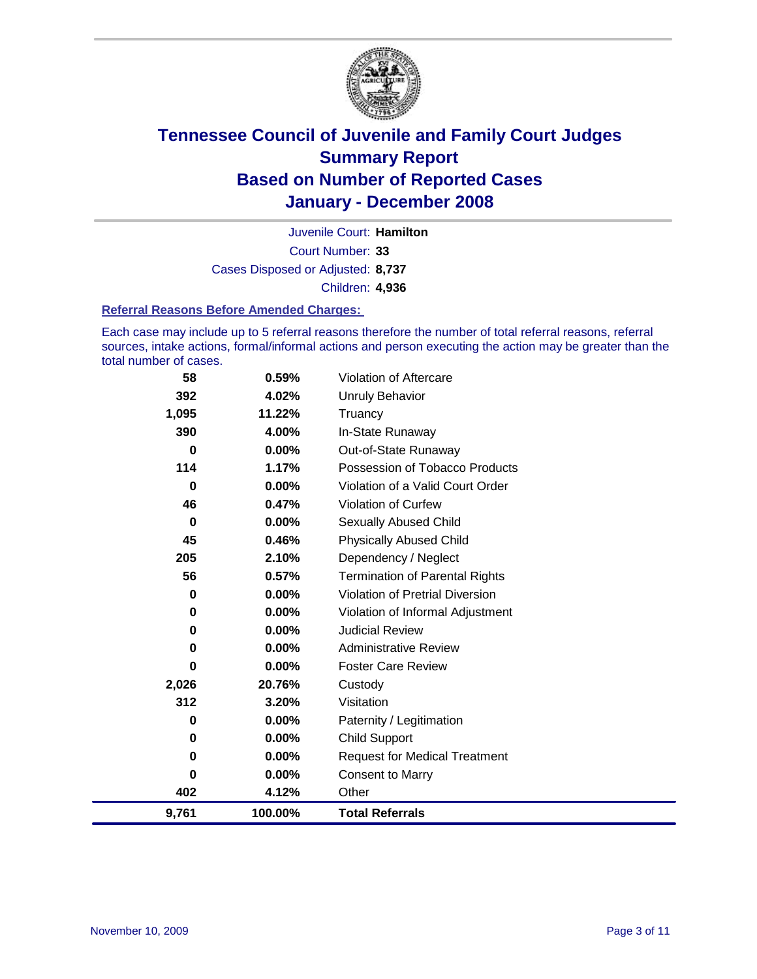

Court Number: **33** Juvenile Court: **Hamilton** Cases Disposed or Adjusted: **8,737** Children: **4,936**

#### **Referral Reasons Before Amended Charges:**

Each case may include up to 5 referral reasons therefore the number of total referral reasons, referral sources, intake actions, formal/informal actions and person executing the action may be greater than the total number of cases.

| 58       | 0.59%    | Violation of Aftercare                 |
|----------|----------|----------------------------------------|
| 392      | 4.02%    | <b>Unruly Behavior</b>                 |
| 1,095    | 11.22%   | Truancy                                |
| 390      | 4.00%    | In-State Runaway                       |
| $\bf{0}$ | $0.00\%$ | Out-of-State Runaway                   |
| 114      | 1.17%    | Possession of Tobacco Products         |
| $\bf{0}$ | $0.00\%$ | Violation of a Valid Court Order       |
| 46       | 0.47%    | <b>Violation of Curfew</b>             |
| $\bf{0}$ | $0.00\%$ | <b>Sexually Abused Child</b>           |
| 45       | 0.46%    | <b>Physically Abused Child</b>         |
| 205      | 2.10%    | Dependency / Neglect                   |
| 56       | 0.57%    | <b>Termination of Parental Rights</b>  |
| 0        | $0.00\%$ | <b>Violation of Pretrial Diversion</b> |
| 0        | $0.00\%$ | Violation of Informal Adjustment       |
| 0        | $0.00\%$ | <b>Judicial Review</b>                 |
| 0        | $0.00\%$ | <b>Administrative Review</b>           |
| 0        | 0.00%    | <b>Foster Care Review</b>              |
| 2,026    | 20.76%   | Custody                                |
| 312      | 3.20%    | Visitation                             |
| 0        | $0.00\%$ | Paternity / Legitimation               |
| 0        | $0.00\%$ | <b>Child Support</b>                   |
| 0        | $0.00\%$ | <b>Request for Medical Treatment</b>   |
| 0        | 0.00%    | <b>Consent to Marry</b>                |
| 402      | 4.12%    | Other                                  |
| 9,761    | 100.00%  | <b>Total Referrals</b>                 |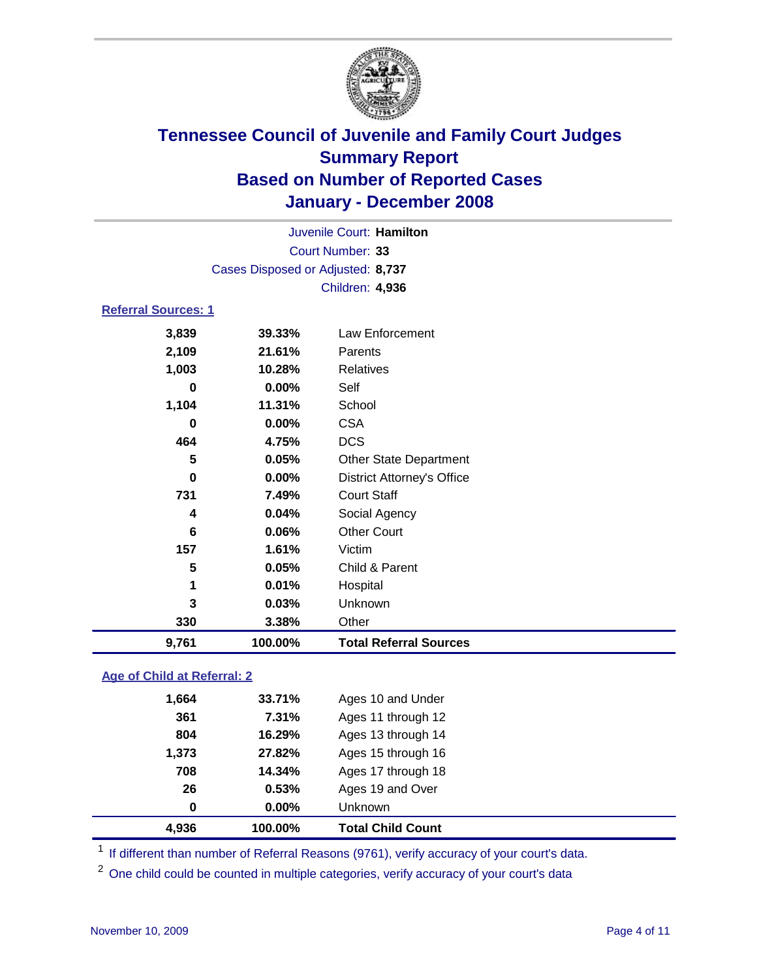

| 9,761                      | 100.00%                           | <b>Total Referral Sources</b>     |  |  |
|----------------------------|-----------------------------------|-----------------------------------|--|--|
| 330                        | 3.38%                             | Other                             |  |  |
| 3                          | 0.03%                             | Unknown                           |  |  |
| 1                          | 0.01%                             | Hospital                          |  |  |
| 5                          | 0.05%                             | Child & Parent                    |  |  |
| 157                        | 1.61%                             | Victim                            |  |  |
| 6                          | 0.06%                             | <b>Other Court</b>                |  |  |
| 4                          | 0.04%                             | Social Agency                     |  |  |
| 731                        | 7.49%                             | <b>Court Staff</b>                |  |  |
| 0                          | $0.00\%$                          | <b>District Attorney's Office</b> |  |  |
| 5                          | 0.05%                             | <b>Other State Department</b>     |  |  |
| 464                        | 4.75%                             | <b>DCS</b>                        |  |  |
| 0                          | $0.00\%$                          | <b>CSA</b>                        |  |  |
| 1,104                      | 11.31%                            | School                            |  |  |
| 0                          | $0.00\%$                          | Self                              |  |  |
| 1,003                      | 10.28%                            | <b>Relatives</b>                  |  |  |
| 2,109                      | 21.61%                            | Parents                           |  |  |
| 3,839                      | 39.33%                            | Law Enforcement                   |  |  |
| <b>Referral Sources: 1</b> |                                   |                                   |  |  |
|                            |                                   | Children: 4,936                   |  |  |
|                            | Cases Disposed or Adjusted: 8,737 |                                   |  |  |
|                            |                                   | Court Number: 33                  |  |  |
|                            | Juvenile Court: Hamilton          |                                   |  |  |
|                            |                                   |                                   |  |  |

### **Age of Child at Referral: 2**

| 4,936<br>100.00% | <b>Total Child Count</b> |  |
|------------------|--------------------------|--|
| $0.00\%$<br>0    | <b>Unknown</b>           |  |
| 26<br>0.53%      | Ages 19 and Over         |  |
| 708<br>14.34%    | Ages 17 through 18       |  |
| 27.82%<br>1,373  | Ages 15 through 16       |  |
| 804<br>16.29%    | Ages 13 through 14       |  |
| 361<br>7.31%     | Ages 11 through 12       |  |
| 1,664<br>33.71%  | Ages 10 and Under        |  |
|                  |                          |  |

<sup>1</sup> If different than number of Referral Reasons (9761), verify accuracy of your court's data.

<sup>2</sup> One child could be counted in multiple categories, verify accuracy of your court's data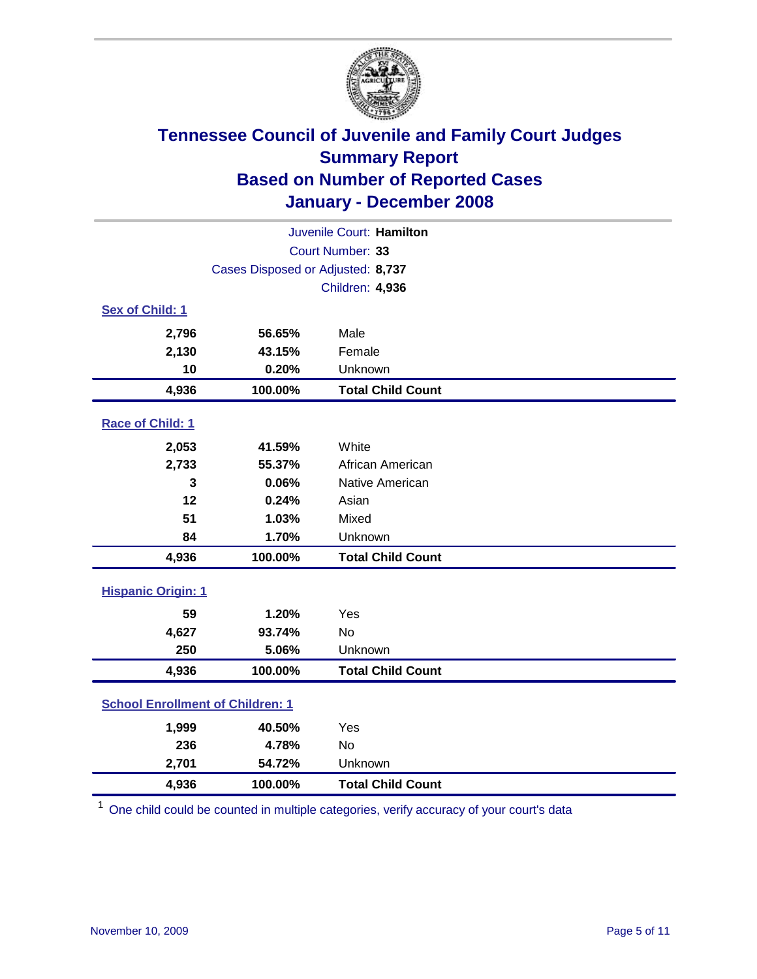

| Juvenile Court: Hamilton                |                                   |                          |  |  |
|-----------------------------------------|-----------------------------------|--------------------------|--|--|
| Court Number: 33                        |                                   |                          |  |  |
|                                         | Cases Disposed or Adjusted: 8,737 |                          |  |  |
|                                         |                                   | <b>Children: 4,936</b>   |  |  |
| Sex of Child: 1                         |                                   |                          |  |  |
| 2,796                                   | 56.65%                            | Male                     |  |  |
| 2,130                                   | 43.15%                            | Female                   |  |  |
| 10                                      | 0.20%                             | Unknown                  |  |  |
| 4,936                                   | 100.00%                           | <b>Total Child Count</b> |  |  |
| Race of Child: 1                        |                                   |                          |  |  |
| 2,053                                   | 41.59%                            | White                    |  |  |
| 2,733                                   | 55.37%                            | African American         |  |  |
| 3                                       | 0.06%                             | Native American          |  |  |
| 12                                      | 0.24%                             | Asian                    |  |  |
| 51                                      | 1.03%                             | Mixed                    |  |  |
| 84                                      | 1.70%                             | Unknown                  |  |  |
| 4,936                                   | 100.00%                           | <b>Total Child Count</b> |  |  |
| <b>Hispanic Origin: 1</b>               |                                   |                          |  |  |
| 59                                      | 1.20%                             | Yes                      |  |  |
| 4,627                                   | 93.74%                            | No                       |  |  |
| 250                                     | 5.06%                             | Unknown                  |  |  |
| 4,936                                   | 100.00%                           | <b>Total Child Count</b> |  |  |
| <b>School Enrollment of Children: 1</b> |                                   |                          |  |  |
| 1,999                                   | 40.50%                            | Yes                      |  |  |
| 236                                     | 4.78%                             | <b>No</b>                |  |  |
| 2,701                                   | 54.72%                            | Unknown                  |  |  |
| 4,936                                   | 100.00%                           | <b>Total Child Count</b> |  |  |

<sup>1</sup> One child could be counted in multiple categories, verify accuracy of your court's data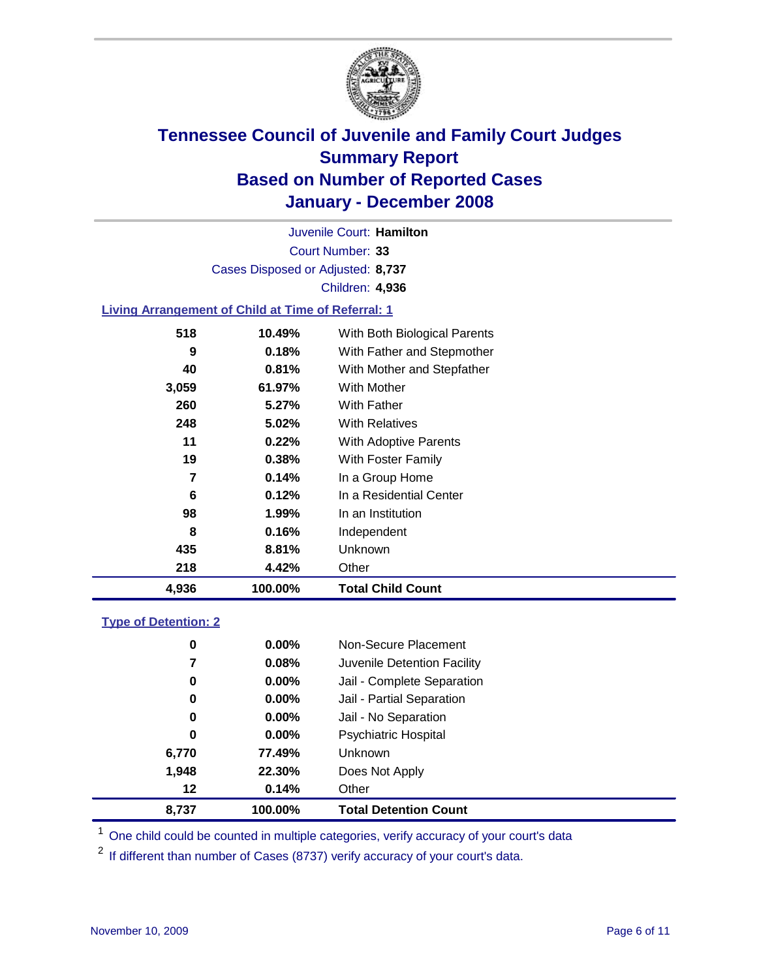

Court Number: **33** Juvenile Court: **Hamilton** Cases Disposed or Adjusted: **8,737** Children: **4,936**

#### **Living Arrangement of Child at Time of Referral: 1**

|       |        | <b>Total Child Count</b>     |
|-------|--------|------------------------------|
| 218   | 4.42%  | Other                        |
| 435   | 8.81%  | Unknown                      |
| 8     | 0.16%  | Independent                  |
| 98    | 1.99%  | In an Institution            |
| 6     | 0.12%  | In a Residential Center      |
| 7     | 0.14%  | In a Group Home              |
| 19    | 0.38%  | With Foster Family           |
| 11    | 0.22%  | With Adoptive Parents        |
| 248   | 5.02%  | <b>With Relatives</b>        |
| 260   | 5.27%  | With Father                  |
| 3,059 | 61.97% | With Mother                  |
| 40    | 0.81%  | With Mother and Stepfather   |
| 9     | 0.18%  | With Father and Stepmother   |
| 518   | 10.49% | With Both Biological Parents |
|       |        | 4,936<br>100.00%             |

#### **Type of Detention: 2**

| 8,737 | 100.00%  | <b>Total Detention Count</b> |  |
|-------|----------|------------------------------|--|
| 12    | 0.14%    | Other                        |  |
| 1,948 | 22.30%   | Does Not Apply               |  |
| 6,770 | 77.49%   | Unknown                      |  |
| 0     | 0.00%    | <b>Psychiatric Hospital</b>  |  |
| 0     | 0.00%    | Jail - No Separation         |  |
| 0     | $0.00\%$ | Jail - Partial Separation    |  |
| 0     | $0.00\%$ | Jail - Complete Separation   |  |
| 7     | 0.08%    | Juvenile Detention Facility  |  |
| 0     | 0.00%    | Non-Secure Placement         |  |
|       |          |                              |  |

<sup>1</sup> One child could be counted in multiple categories, verify accuracy of your court's data

<sup>2</sup> If different than number of Cases (8737) verify accuracy of your court's data.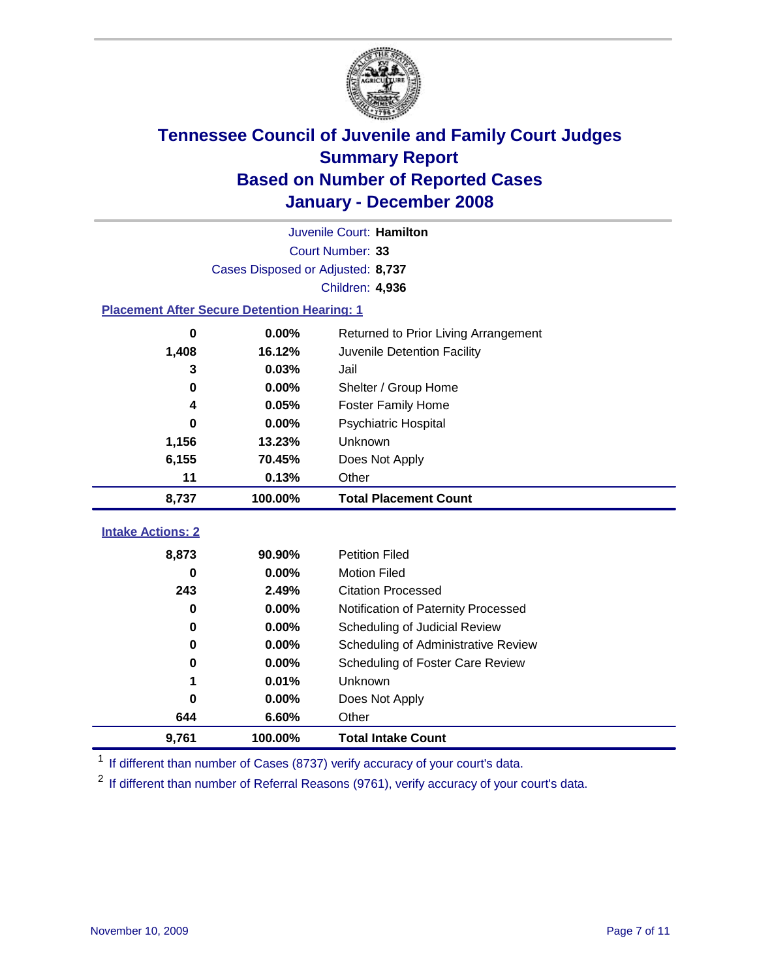

|                                                    | Juvenile Court: Hamilton          |                                      |  |  |  |
|----------------------------------------------------|-----------------------------------|--------------------------------------|--|--|--|
|                                                    | Court Number: 33                  |                                      |  |  |  |
|                                                    | Cases Disposed or Adjusted: 8,737 |                                      |  |  |  |
|                                                    |                                   | Children: 4,936                      |  |  |  |
| <b>Placement After Secure Detention Hearing: 1</b> |                                   |                                      |  |  |  |
| 0                                                  | 0.00%                             | Returned to Prior Living Arrangement |  |  |  |
| 1,408                                              | 16.12%                            | Juvenile Detention Facility          |  |  |  |
| 3                                                  | 0.03%                             | Jail                                 |  |  |  |
| 0                                                  | 0.00%                             | Shelter / Group Home                 |  |  |  |
| 4                                                  | 0.05%                             | <b>Foster Family Home</b>            |  |  |  |
| $\bf{0}$                                           | 0.00%                             | Psychiatric Hospital                 |  |  |  |
| 1,156                                              | 13.23%                            | Unknown                              |  |  |  |
| 6,155                                              | 70.45%                            | Does Not Apply                       |  |  |  |
| 11                                                 | 0.13%                             | Other                                |  |  |  |
| 8,737                                              | 100.00%                           | <b>Total Placement Count</b>         |  |  |  |
| <b>Intake Actions: 2</b>                           |                                   |                                      |  |  |  |
|                                                    |                                   |                                      |  |  |  |
| 8,873                                              | 90.90%                            | <b>Petition Filed</b>                |  |  |  |
| $\bf{0}$                                           | 0.00%                             | <b>Motion Filed</b>                  |  |  |  |
| 243                                                | 2.49%                             | <b>Citation Processed</b>            |  |  |  |
| 0                                                  | 0.00%                             | Notification of Paternity Processed  |  |  |  |
| 0                                                  | 0.00%                             | Scheduling of Judicial Review        |  |  |  |
| $\bf{0}$                                           | 0.00%                             | Scheduling of Administrative Review  |  |  |  |
| 0                                                  | 0.00%                             | Scheduling of Foster Care Review     |  |  |  |
|                                                    | 0.01%                             | Unknown                              |  |  |  |
| 0                                                  | 0.00%                             | Does Not Apply                       |  |  |  |
| 644                                                | 6.60%                             | Other                                |  |  |  |
| 9,761                                              | 100.00%                           | <b>Total Intake Count</b>            |  |  |  |

<sup>1</sup> If different than number of Cases (8737) verify accuracy of your court's data.

<sup>2</sup> If different than number of Referral Reasons (9761), verify accuracy of your court's data.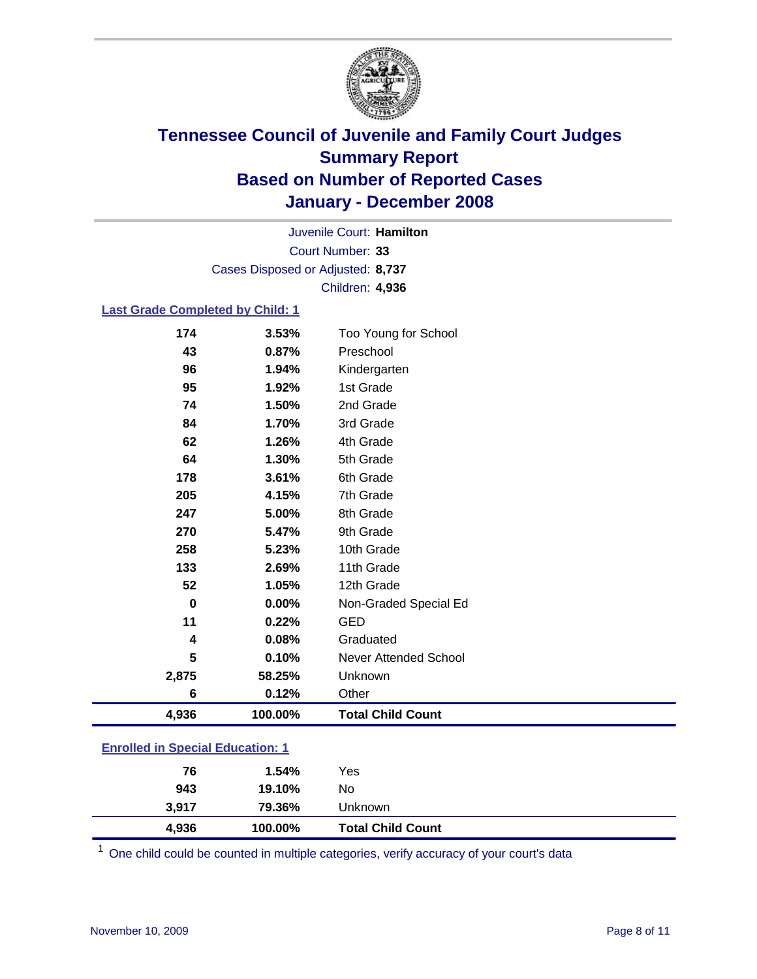

Court Number: **33** Juvenile Court: **Hamilton** Cases Disposed or Adjusted: **8,737** Children: **4,936**

### **Last Grade Completed by Child: 1**

| 4,936    | 100.00% | <b>Total Child Count</b> |
|----------|---------|--------------------------|
| 6        | 0.12%   | Other                    |
| 2,875    | 58.25%  | Unknown                  |
| 5        | 0.10%   | Never Attended School    |
| 4        | 0.08%   | Graduated                |
| 11       | 0.22%   | <b>GED</b>               |
| $\bf{0}$ | 0.00%   | Non-Graded Special Ed    |
| 52       | 1.05%   | 12th Grade               |
| 133      | 2.69%   | 11th Grade               |
| 258      | 5.23%   | 10th Grade               |
| 270      | 5.47%   | 9th Grade                |
| 247      | 5.00%   | 8th Grade                |
| 205      | 4.15%   | 7th Grade                |
| 178      | 3.61%   | 6th Grade                |
| 64       | 1.30%   | 5th Grade                |
| 62       | 1.26%   | 4th Grade                |
| 84       | 1.70%   | 3rd Grade                |
| 74       | 1.50%   | 2nd Grade                |
| 95       | 1.92%   | 1st Grade                |
| 96       | 1.94%   | Kindergarten             |
| 43       | 0.87%   | Preschool                |
| 174      | 3.53%   | Too Young for School     |

### **Enrolled in Special Education: 1**

| 4,936 | 100.00% | <b>Total Child Count</b> |  |
|-------|---------|--------------------------|--|
| 3.917 | 79.36%  | Unknown                  |  |
| 943   | 19.10%  | No                       |  |
| 76    | 1.54%   | Yes                      |  |
|       |         |                          |  |

<sup>1</sup> One child could be counted in multiple categories, verify accuracy of your court's data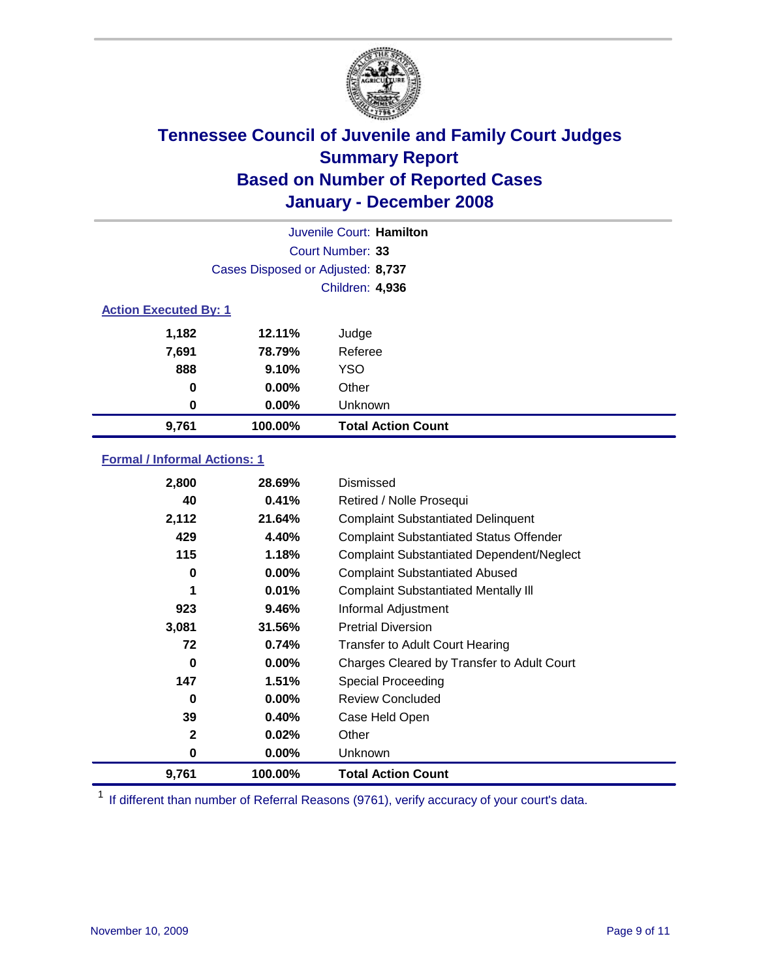

| Juvenile Court: Hamilton     |                                   |                           |  |  |  |
|------------------------------|-----------------------------------|---------------------------|--|--|--|
|                              | Court Number: 33                  |                           |  |  |  |
|                              | Cases Disposed or Adjusted: 8,737 |                           |  |  |  |
|                              |                                   | <b>Children: 4,936</b>    |  |  |  |
| <b>Action Executed By: 1</b> |                                   |                           |  |  |  |
| 1,182                        | 12.11%                            | Judge                     |  |  |  |
| 7,691                        | 78.79%                            | Referee                   |  |  |  |
| 888                          | 9.10%                             | <b>YSO</b>                |  |  |  |
| $\bf{0}$                     | $0.00\%$                          | Other                     |  |  |  |
| 0                            | $0.00\%$                          | Unknown                   |  |  |  |
| 9,761                        | 100.00%                           | <b>Total Action Count</b> |  |  |  |

### **Formal / Informal Actions: 1**

| 2,800        | 28.69%   | Dismissed                                        |
|--------------|----------|--------------------------------------------------|
| 40           | 0.41%    | Retired / Nolle Prosequi                         |
| 2,112        | 21.64%   | <b>Complaint Substantiated Delinquent</b>        |
| 429          | 4.40%    | <b>Complaint Substantiated Status Offender</b>   |
| 115          | 1.18%    | <b>Complaint Substantiated Dependent/Neglect</b> |
| 0            | $0.00\%$ | <b>Complaint Substantiated Abused</b>            |
| 1            | 0.01%    | <b>Complaint Substantiated Mentally III</b>      |
| 923          | 9.46%    | Informal Adjustment                              |
| 3,081        | 31.56%   | <b>Pretrial Diversion</b>                        |
| 72           | 0.74%    | <b>Transfer to Adult Court Hearing</b>           |
| 0            | $0.00\%$ | Charges Cleared by Transfer to Adult Court       |
| 147          | 1.51%    | Special Proceeding                               |
| 0            | $0.00\%$ | <b>Review Concluded</b>                          |
| 39           | 0.40%    | Case Held Open                                   |
| $\mathbf{2}$ | 0.02%    | Other                                            |
| 0            | $0.00\%$ | <b>Unknown</b>                                   |
| 9,761        | 100.00%  | <b>Total Action Count</b>                        |

<sup>1</sup> If different than number of Referral Reasons (9761), verify accuracy of your court's data.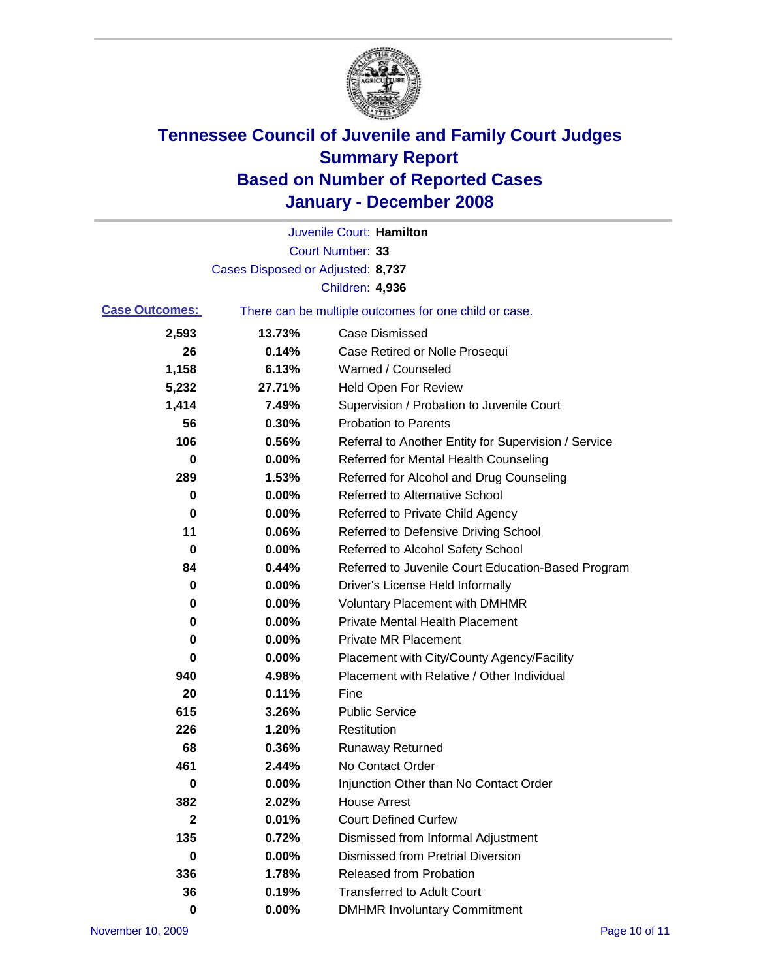

|                       |                                   | Juvenile Court: Hamilton                              |
|-----------------------|-----------------------------------|-------------------------------------------------------|
|                       |                                   | Court Number: 33                                      |
|                       | Cases Disposed or Adjusted: 8,737 |                                                       |
|                       |                                   | <b>Children: 4,936</b>                                |
| <b>Case Outcomes:</b> |                                   | There can be multiple outcomes for one child or case. |
| 2,593                 | 13.73%                            | <b>Case Dismissed</b>                                 |
| 26                    | 0.14%                             | Case Retired or Nolle Prosequi                        |
| 1,158                 | 6.13%                             | Warned / Counseled                                    |
| 5,232                 | 27.71%                            | <b>Held Open For Review</b>                           |
| 1,414                 | 7.49%                             | Supervision / Probation to Juvenile Court             |
| 56                    | 0.30%                             | <b>Probation to Parents</b>                           |
| 106                   | 0.56%                             | Referral to Another Entity for Supervision / Service  |
| 0                     | 0.00%                             | Referred for Mental Health Counseling                 |
| 289                   | 1.53%                             | Referred for Alcohol and Drug Counseling              |
| 0                     | 0.00%                             | <b>Referred to Alternative School</b>                 |
| 0                     | 0.00%                             | Referred to Private Child Agency                      |
| 11                    | 0.06%                             | Referred to Defensive Driving School                  |
| 0                     | 0.00%                             | Referred to Alcohol Safety School                     |
| 84                    | 0.44%                             | Referred to Juvenile Court Education-Based Program    |
| 0                     | 0.00%                             | Driver's License Held Informally                      |
| 0                     | 0.00%                             | <b>Voluntary Placement with DMHMR</b>                 |
| 0                     | 0.00%                             | <b>Private Mental Health Placement</b>                |
| 0                     | 0.00%                             | <b>Private MR Placement</b>                           |
| 0                     | 0.00%                             | Placement with City/County Agency/Facility            |
| 940                   | 4.98%                             | Placement with Relative / Other Individual            |
| 20                    | 0.11%                             | Fine                                                  |
| 615                   | 3.26%                             | <b>Public Service</b>                                 |
| 226                   | 1.20%                             | Restitution                                           |
| 68                    | 0.36%                             | <b>Runaway Returned</b>                               |
| 461                   | 2.44%                             | No Contact Order                                      |
| 0                     | $0.00\%$                          | Injunction Other than No Contact Order                |
| 382                   | 2.02%                             | <b>House Arrest</b>                                   |
| $\mathbf 2$           | 0.01%                             | <b>Court Defined Curfew</b>                           |
| 135                   | 0.72%                             | Dismissed from Informal Adjustment                    |
| 0                     | 0.00%                             | <b>Dismissed from Pretrial Diversion</b>              |
| 336                   | 1.78%                             | <b>Released from Probation</b>                        |
| 36                    | 0.19%                             | <b>Transferred to Adult Court</b>                     |
| 0                     | 0.00%                             | <b>DMHMR Involuntary Commitment</b>                   |